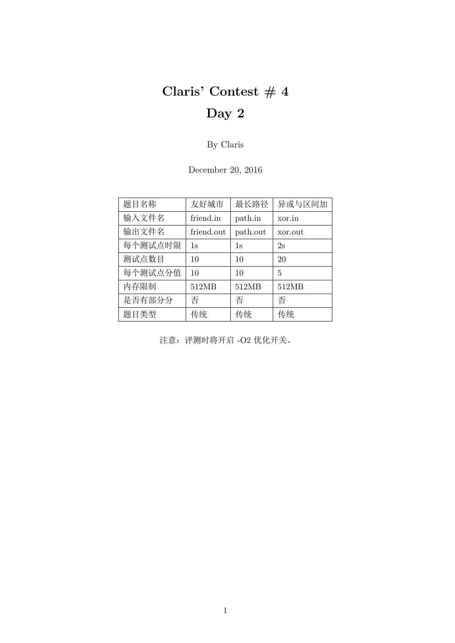# **Claris' Contest # 4 Day 2**

By Claris

December 20, 2016

| 题目名称    | 友好城市       | 最长路径     | 异或与区间加  |
|---------|------------|----------|---------|
| 输入文件名   | friend.in  | path.in  | xor.in  |
| 输出文件名   | friend.out | path.out | xor.out |
| 每个测试点时限 | 1s         | 1s       | 2s      |
| 测试点数目   | 10         | 10       | 20      |
| 每个测试点分值 | 10         | 10       | 5       |
| 内存限制    | 512MB      | 512MB    | 512MB   |
| 是否有部分分  | 否          | 否        | 否       |
| 题目类型    | 传统         | 传统       | 传统      |

注意:评测时将开启 -O2 优化开关。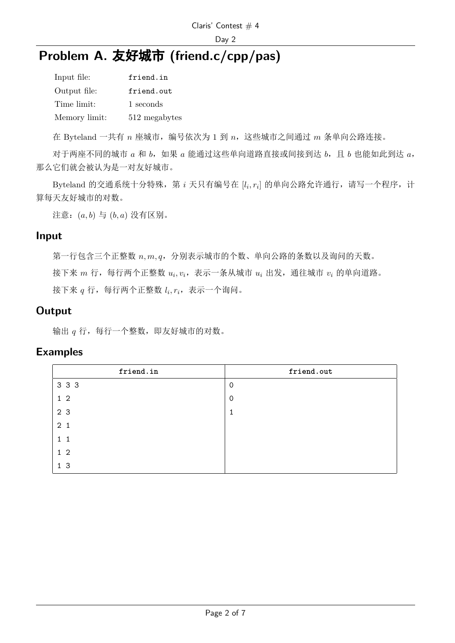# **Problem A.** 友好城市 **(friend.c/cpp/pas)**

| Input file:   | friend.in     |
|---------------|---------------|
| Output file:  | friend.out    |
| Time limit:   | 1 seconds     |
| Memory limit: | 512 megabytes |

在 Byteland 一共有 *n* 座城市,编号依次为 1 到 *n*,这些城市之间通过 *m* 条单向公路连接。

对于两座不同的城市 *a* 和 *b*,如果 *a* 能通过这些单向道路直接或间接到达 *b*,且 *b* 也能如此到达 *a*, 那么它们就会被认为是一对友好城市。

Byteland 的交通系统十分特殊,第 *i* 天只有编号在 [l<sub>i</sub>, r<sub>i</sub>] 的单向公路允许通行,请写一个程序,计 算每天友好城市的对数。

注意:(*a, b*) 与 (*b, a*) 没有区别。

#### **Input**

第一行包含三个正整数 *n, m, q*,分别表示城市的个数、单向公路的条数以及询问的天数。

接下来 *m* 行,每行两个正整数  $u_i, v_i$ ,表示一条从城市  $u_i$  出发,通往城市  $v_i$  的单向道路。

接下来  $q$  行,每行两个正整数  $l_i,r_i$ ,表示一个询问。

### **Output**

输出 *q* 行,每行一个整数,即友好城市的对数。

#### **Examples**

| friend.in      | friend.out  |
|----------------|-------------|
| 3 3 3          | 0           |
| $1\quad2$      | $\mathbf 0$ |
| 2 3            | 1           |
| 2 <sub>1</sub> |             |
| $1\quad1$      |             |
| $1\quad2$      |             |
| 1 <sub>3</sub> |             |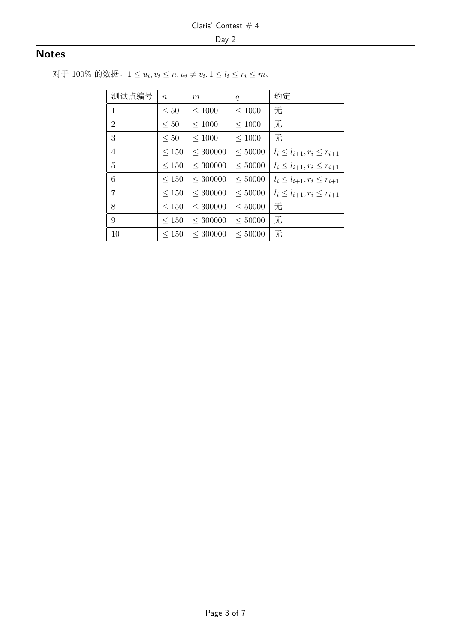### **Notes**

对于 100% 的数据,  $1 \le u_i, v_i \le n, u_i \ne v_i, 1 \le l_i \le r_i \le m$ 。

| 测试点编号          | $\boldsymbol{n}$ | $\,m$         | $\boldsymbol{q}$ | 约定                                   |
|----------------|------------------|---------------|------------------|--------------------------------------|
| 1              | $\leq 50$        | $\leq 1000$   | $\leq 1000$      | 无                                    |
| $\overline{2}$ | $\leq 50$        | $\leq 1000$   | $\leq 1000$      | 无                                    |
| 3              | $\leq 50$        | $\leq 1000$   | $\leq 1000$      | 无                                    |
| 4              | $\leq 150$       | $<$ 300000    | $\leq 50000$     | $l_i \leq l_{i+1}, r_i \leq r_{i+1}$ |
| 5              | $\leq 150$       | $\leq 300000$ | $\leq 50000$     | $l_i \leq l_{i+1}, r_i \leq r_{i+1}$ |
| 6              | $\leq 150$       | $<$ 300000    | $\leq 50000$     | $l_i \leq l_{i+1}, r_i \leq r_{i+1}$ |
| 7              | $\leq 150$       | $<$ 300000    | $\leq 50000$     | $l_i \leq l_{i+1}, r_i \leq r_{i+1}$ |
| 8              | $\leq 150$       | $\leq 300000$ | $\leq 50000$     | 无                                    |
| 9              | $\leq 150$       | $<$ 300000    | < 50000          | 无                                    |
| 10             | $\leq 150$       | $<$ 300000    | < 50000          | 无                                    |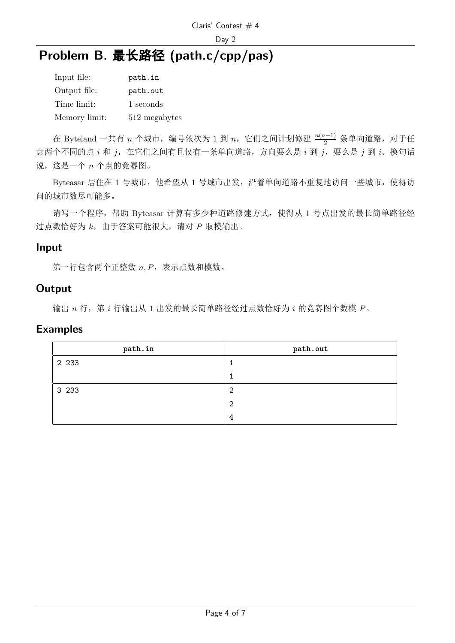# **Problem B.** 最长路径 **(path.c/cpp/pas)**

| Input file:   | path.in       |
|---------------|---------------|
| Output file:  | path.out      |
| Time limit:   | 1 seconds     |
| Memory limit: | 512 megabytes |

在 Byteland 一共有 *n* 个城市,编号依次为 1 到 *n*,它们之间计划修建 <sup>n(n−1)</sup> 条单向道路,对于任 意两个不同的点 *i* 和 *j*, 在它们之间有且仅有一条单向道路, 方向要么是 *i* 到 *j*, 要么是 *j* 到 *i*。换句话 说,这是一个 *n* 个点的竞赛图。

Byteasar 居住在 1 号城市, 他希望从 1 号城市出发, 沿着单向道路不重复地访问一些城市, 使得访 问的城市数尽可能多。

请写一个程序,帮助 Byteasar 计算有多少种道路修建方式,使得从 1 号点出发的最长简单路径经 过点数恰好为 *k*,由于答案可能很大,请对 *P* 取模输出。

#### **Input**

第一行包含两个正整数  $n, P$ ,表示点数和模数。

#### **Output**

输出 *n* 行,第 *i* 行输出从 1 出发的最长简单路径经过点数恰好为 *i* 的竞赛图个数模 *P*。

#### **Examples**

| path.in | path.out |
|---------|----------|
| 2 2 3 3 |          |
|         |          |
| 3 2 3 3 | 2        |
|         | 2        |
|         | 4        |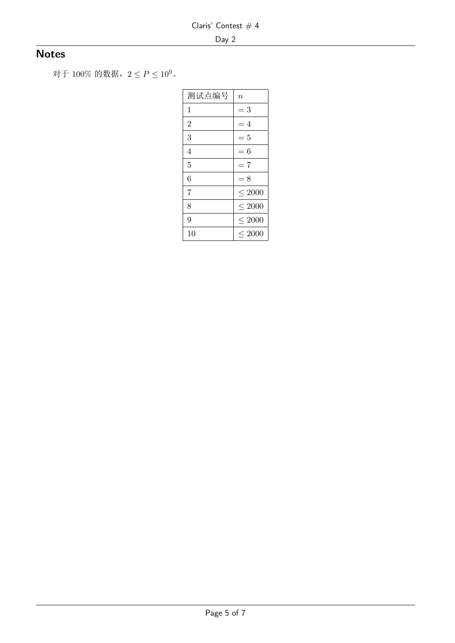## **Notes**

对于 <sup>100</sup>% 的数据,<sup>2</sup> *<sup>≤</sup> <sup>P</sup> <sup>≤</sup>* <sup>10</sup>9。

| 测试点编号          | $\it n$     |
|----------------|-------------|
| 1              | $=$ 3       |
| $\overline{2}$ | $=4$        |
| 3              | $=5$        |
| 4              | $=6$        |
| 5              | $=7$        |
| 6              | $= 8$       |
| 7              | ${}<$ 2000  |
| 8              | ${}<$ 2000  |
| 9              | $\leq 2000$ |
| 10             | ${}<$ 2000  |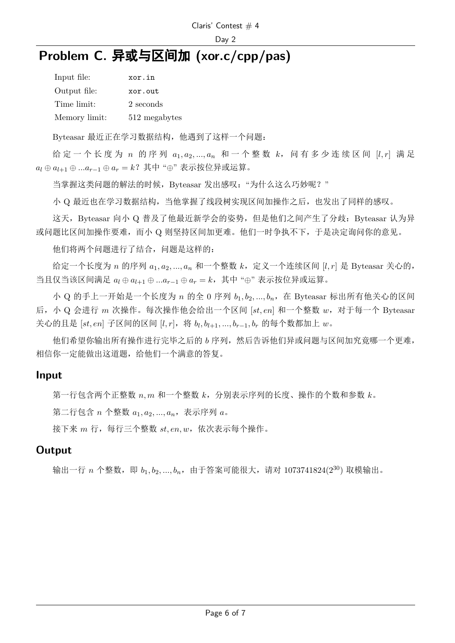# **Problem C.** 异或与区间加 **(xor.c/cpp/pas)**

| Input file:   | xor.in        |
|---------------|---------------|
| Output file:  | xor.out       |
| Time limit:   | 2 seconds     |
| Memory limit: | 512 megabytes |

Byteasar 最近正在学习数据结构,他遇到了这样一个问题:

给 定 一 个 长 度 为 *n* 的 序 列 *a*1*, a*2*, ..., a<sup>n</sup>* 和 一 个 整 数 *k*, 问 有 多 少 连 续 区 间 [*l, r*] 满 足 *a<sup>l</sup> ⊕ al*+1 *⊕ ...ar−*<sup>1</sup> *⊕ a<sup>r</sup>* = *k*?其中 "*⊕*" 表示按位异或运算。

当掌握这类问题的解法的时候, Byteasar 发出感叹: "为什么这么巧妙呢?"

小 Q 最近也在学习数据结构,当他掌握了线段树实现区间加操作之后,也发出了同样的感叹。

这天, Byteasar 向小 Q 普及了他最近新学会的姿势, 但是他们之间产生了分歧: Byteasar 认为异 或问题比区间加操作要难,而小 Q 则坚持区间加更难。他们一时争执不下,于是决定询问你的意见。

他们将两个问题进行了结合,问题是这样的:

给定一个长度为 *n* 的序列 *a*1*, a*2*, ..., a<sup>n</sup>* 和一个整数 *k*,定义一个连续区间 [*l, r*] 是 Byteasar 关心的, 当且仅当该区间满足 *a<sup>l</sup> ⊕ al*+1 *⊕ ...ar−*<sup>1</sup> *⊕ a<sup>r</sup>* = *k*,其中 "*⊕*" 表示按位异或运算。

小 Q 的手上一开始是一个长度为 *n* 的全 0 序列 *b*1*, b*2*, ..., bn*,在 Byteasar 标出所有他关心的区间 后,小 Q 会进行 *m* 次操作。每次操作他会给出一个区间 [*st, en*] 和一个整数 *w*,对于每一个 Byteasar 关心的且是 [*st, en*] 子区间的区间 [*l, r*],将 *b<sup>l</sup> , bl*+1*, ..., br−*1*, b<sup>r</sup>* 的每个数都加上 *w*。

他们希望你输出所有操作进行完毕之后的 *b* 序列,然后告诉他们异或问题与区间加究竟哪一个更难, 相信你一定能做出这道题,给他们一个满意的答复。

#### **Input**

第一行包含两个正整数 *n, m* 和一个整数 *k*,分别表示序列的长度、操作的个数和参数 *k*。

第二行包含 *n* 个整数 *a*1*, a*2*, ..., an*,表示序列 *a*。

接下来 *m* 行, 每行三个整数 *st, en, w*, 依次表示每个操作。

### **Output**

输出一行 *n* 个整数, 即 *b*<sub>1</sub>, *b*<sub>2</sub>, ..., *b*<sub>n</sub>, 由于答案可能很大, 请对 1073741824(2<sup>30</sup>) 取模输出。